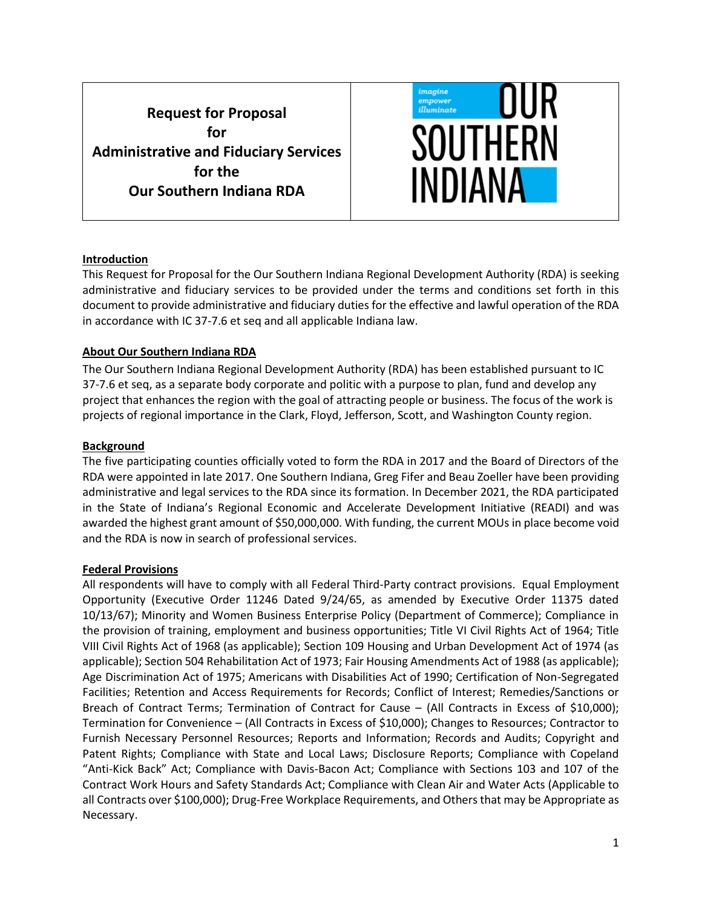**Request for Proposal for Administrative and Fiduciary Services for the Our Southern Indiana RDA**



#### **Introduction**

This Request for Proposal for the Our Southern Indiana Regional Development Authority (RDA) is seeking administrative and fiduciary services to be provided under the terms and conditions set forth in this document to provide administrative and fiduciary duties for the effective and lawful operation of the RDA in accordance with IC 37-7.6 et seq and all applicable Indiana law.

### **About Our Southern Indiana RDA**

The Our Southern Indiana Regional Development Authority (RDA) has been established pursuant to IC 37-7.6 et seq, as a separate body corporate and politic with a purpose to plan, fund and develop any project that enhances the region with the goal of attracting people or business. The focus of the work is projects of regional importance in the Clark, Floyd, Jefferson, Scott, and Washington County region.

### **Background**

The five participating counties officially voted to form the RDA in 2017 and the Board of Directors of the RDA were appointed in late 2017. One Southern Indiana, Greg Fifer and Beau Zoeller have been providing administrative and legal services to the RDA since its formation. In December 2021, the RDA participated in the State of Indiana's Regional Economic and Accelerate Development Initiative (READI) and was awarded the highest grant amount of \$50,000,000. With funding, the current MOUs in place become void and the RDA is now in search of professional services.

### **Federal Provisions**

All respondents will have to comply with all Federal Third-Party contract provisions. Equal Employment Opportunity (Executive Order 11246 Dated 9/24/65, as amended by Executive Order 11375 dated 10/13/67); Minority and Women Business Enterprise Policy (Department of Commerce); Compliance in the provision of training, employment and business opportunities; Title VI Civil Rights Act of 1964; Title VIII Civil Rights Act of 1968 (as applicable); Section 109 Housing and Urban Development Act of 1974 (as applicable); Section 504 Rehabilitation Act of 1973; Fair Housing Amendments Act of 1988 (as applicable); Age Discrimination Act of 1975; Americans with Disabilities Act of 1990; Certification of Non-Segregated Facilities; Retention and Access Requirements for Records; Conflict of Interest; Remedies/Sanctions or Breach of Contract Terms; Termination of Contract for Cause – (All Contracts in Excess of \$10,000); Termination for Convenience – (All Contracts in Excess of \$10,000); Changes to Resources; Contractor to Furnish Necessary Personnel Resources; Reports and Information; Records and Audits; Copyright and Patent Rights; Compliance with State and Local Laws; Disclosure Reports; Compliance with Copeland "Anti-Kick Back" Act; Compliance with Davis-Bacon Act; Compliance with Sections 103 and 107 of the Contract Work Hours and Safety Standards Act; Compliance with Clean Air and Water Acts (Applicable to all Contracts over \$100,000); Drug-Free Workplace Requirements, and Others that may be Appropriate as Necessary.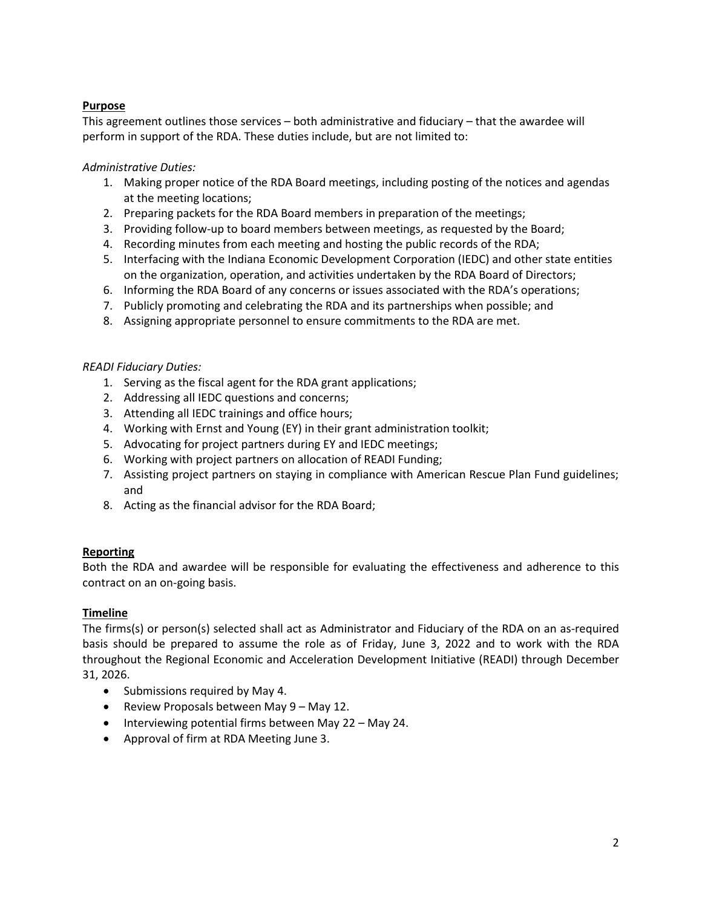# **Purpose**

This agreement outlines those services – both administrative and fiduciary – that the awardee will perform in support of the RDA. These duties include, but are not limited to:

# *Administrative Duties:*

- 1. Making proper notice of the RDA Board meetings, including posting of the notices and agendas at the meeting locations;
- 2. Preparing packets for the RDA Board members in preparation of the meetings;
- 3. Providing follow-up to board members between meetings, as requested by the Board;
- 4. Recording minutes from each meeting and hosting the public records of the RDA;
- 5. Interfacing with the Indiana Economic Development Corporation (IEDC) and other state entities on the organization, operation, and activities undertaken by the RDA Board of Directors;
- 6. Informing the RDA Board of any concerns or issues associated with the RDA's operations;
- 7. Publicly promoting and celebrating the RDA and its partnerships when possible; and
- 8. Assigning appropriate personnel to ensure commitments to the RDA are met.

## *READI Fiduciary Duties:*

- 1. Serving as the fiscal agent for the RDA grant applications;
- 2. Addressing all IEDC questions and concerns;
- 3. Attending all IEDC trainings and office hours;
- 4. Working with Ernst and Young (EY) in their grant administration toolkit;
- 5. Advocating for project partners during EY and IEDC meetings;
- 6. Working with project partners on allocation of READI Funding;
- 7. Assisting project partners on staying in compliance with American Rescue Plan Fund guidelines; and
- 8. Acting as the financial advisor for the RDA Board;

## **Reporting**

Both the RDA and awardee will be responsible for evaluating the effectiveness and adherence to this contract on an on-going basis.

## **Timeline**

The firms(s) or person(s) selected shall act as Administrator and Fiduciary of the RDA on an as-required basis should be prepared to assume the role as of Friday, June 3, 2022 and to work with the RDA throughout the Regional Economic and Acceleration Development Initiative (READI) through December 31, 2026.

- Submissions required by May 4.
- Review Proposals between May 9 May 12.
- Interviewing potential firms between May 22 May 24.
- Approval of firm at RDA Meeting June 3.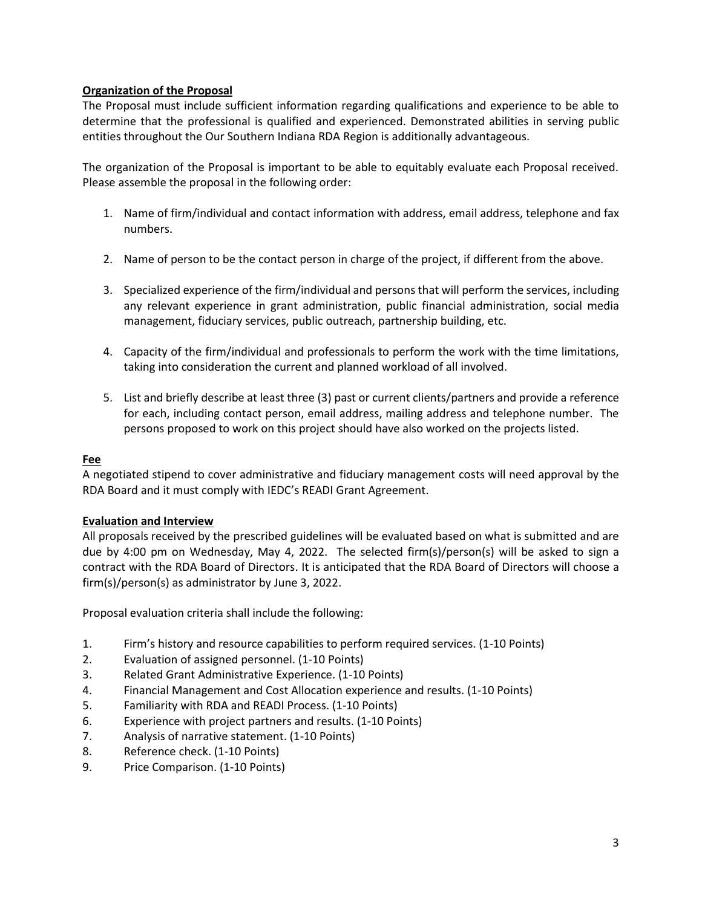### **Organization of the Proposal**

The Proposal must include sufficient information regarding qualifications and experience to be able to determine that the professional is qualified and experienced. Demonstrated abilities in serving public entities throughout the Our Southern Indiana RDA Region is additionally advantageous.

The organization of the Proposal is important to be able to equitably evaluate each Proposal received. Please assemble the proposal in the following order:

- 1. Name of firm/individual and contact information with address, email address, telephone and fax numbers.
- 2. Name of person to be the contact person in charge of the project, if different from the above.
- 3. Specialized experience of the firm/individual and persons that will perform the services, including any relevant experience in grant administration, public financial administration, social media management, fiduciary services, public outreach, partnership building, etc.
- 4. Capacity of the firm/individual and professionals to perform the work with the time limitations, taking into consideration the current and planned workload of all involved.
- 5. List and briefly describe at least three (3) past or current clients/partners and provide a reference for each, including contact person, email address, mailing address and telephone number. The persons proposed to work on this project should have also worked on the projects listed.

### **Fee**

A negotiated stipend to cover administrative and fiduciary management costs will need approval by the RDA Board and it must comply with IEDC's READI Grant Agreement.

### **Evaluation and Interview**

All proposals received by the prescribed guidelines will be evaluated based on what is submitted and are due by 4:00 pm on Wednesday, May 4, 2022. The selected firm(s)/person(s) will be asked to sign a contract with the RDA Board of Directors. It is anticipated that the RDA Board of Directors will choose a firm(s)/person(s) as administrator by June 3, 2022.

Proposal evaluation criteria shall include the following:

- 1. Firm's history and resource capabilities to perform required services. (1-10 Points)
- 2. Evaluation of assigned personnel. (1-10 Points)
- 3. Related Grant Administrative Experience. (1-10 Points)
- 4. Financial Management and Cost Allocation experience and results. (1-10 Points)
- 5. Familiarity with RDA and READI Process. (1-10 Points)
- 6. Experience with project partners and results. (1-10 Points)
- 7. Analysis of narrative statement. (1-10 Points)
- 8. Reference check. (1-10 Points)
- 9. Price Comparison. (1-10 Points)